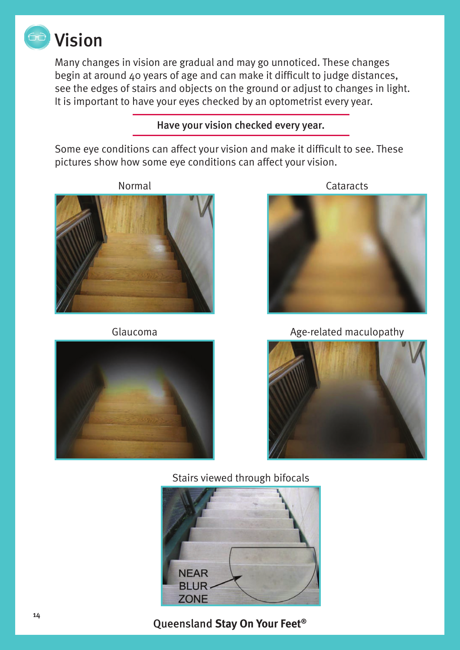

Many changes in vision are gradual and may go unnoticed. These changes begin at around 40 years of age and can make it difficult to judge distances, see the edges of stairs and objects on the ground or adjust to changes in light. It is important to have your eyes checked by an optometrist every year.

Have your vision checked every year.

Some eye conditions can affect your vision and make it difficult to see. These pictures show how some eye conditions can affect your vision.







Glaucoma **Age-related maculopathy** 



Stairs viewed through bifocals



Queensland **Stay On Your Feet®**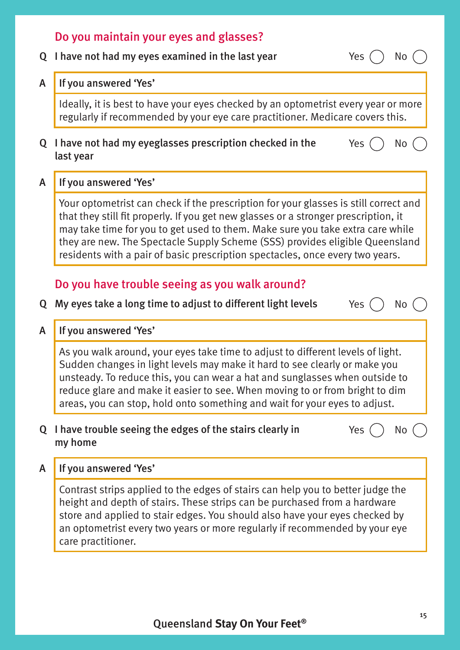# Do you maintain your eyes and glasses?

Q I have not had my eyes examined in the last year  $Yes$   $\bigcap$  No

#### A If you answered 'Yes'

Ideally, it is best to have your eyes checked by an optometrist every year or more regularly if recommended by your eye care practitioner. Medicare covers this.

- Q I have not had my eyeglasses prescription checked in the last year
- Yes  $()$  No

### A If you answered 'Yes'

Your optometrist can check if the prescription for your glasses is still correct and that they still fit properly. If you get new glasses or a stronger prescription, it may take time for you to get used to them. Make sure you take extra care while they are new. The Spectacle Supply Scheme (SSS) provides eligible Queensland residents with a pair of basic prescription spectacles, once every two years.

## Do you have trouble seeing as you walk around?

Q My eyes take a long time to adjust to different light levels  $Yes$   $()$  No

#### A If you answered 'Yes'

As you walk around, your eyes take time to adjust to different levels of light. Sudden changes in light levels may make it hard to see clearly or make you unsteady. To reduce this, you can wear a hat and sunglasses when outside to reduce glare and make it easier to see. When moving to or from bright to dim areas, you can stop, hold onto something and wait for your eyes to adjust.

### Q I have trouble seeing the edges of the stairs clearly in my home

Yes  $()$  No

## A If you answered 'Yes'

Contrast strips applied to the edges of stairs can help you to better judge the height and depth of stairs. These strips can be purchased from a hardware store and applied to stair edges. You should also have your eyes checked by an optometrist every two years or more regularly if recommended by your eye care practitioner.